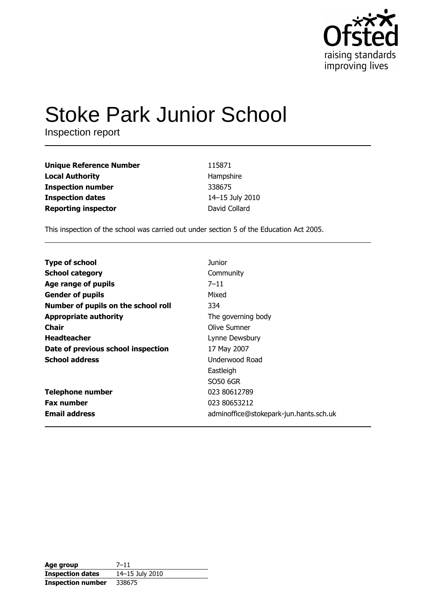

# **Stoke Park Junior School**

Inspection report

| <b>Unique Reference Number</b> | 115871          |
|--------------------------------|-----------------|
| <b>Local Authority</b>         | Hampshire       |
| <b>Inspection number</b>       | 338675          |
| <b>Inspection dates</b>        | 14-15 July 2010 |
| <b>Reporting inspector</b>     | David Collard   |

This inspection of the school was carried out under section 5 of the Education Act 2005.

| <b>Type of school</b>               | Junior                                 |
|-------------------------------------|----------------------------------------|
| <b>School category</b>              | Community                              |
| Age range of pupils                 | $7 - 11$                               |
| <b>Gender of pupils</b>             | Mixed                                  |
| Number of pupils on the school roll | 334                                    |
| <b>Appropriate authority</b>        | The governing body                     |
| <b>Chair</b>                        | Olive Sumner                           |
| <b>Headteacher</b>                  | Lynne Dewsbury                         |
| Date of previous school inspection  | 17 May 2007                            |
| <b>School address</b>               | Underwood Road                         |
|                                     | Eastleigh                              |
|                                     | SO50 6GR                               |
| <b>Telephone number</b>             | 023 80612789                           |
| <b>Fax number</b>                   | 023 80653212                           |
| <b>Email address</b>                | adminoffice@stokepark-jun.hants.sch.uk |

| Age group                | $7 - 11$        |
|--------------------------|-----------------|
| <b>Inspection dates</b>  | 14-15 July 2010 |
| <b>Inspection number</b> | 338675          |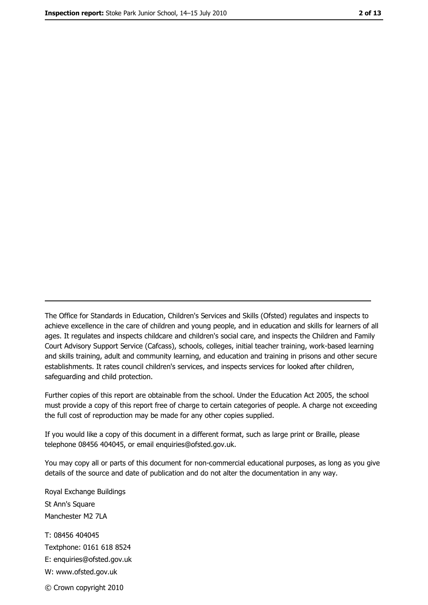The Office for Standards in Education, Children's Services and Skills (Ofsted) regulates and inspects to achieve excellence in the care of children and young people, and in education and skills for learners of all ages. It regulates and inspects childcare and children's social care, and inspects the Children and Family Court Advisory Support Service (Cafcass), schools, colleges, initial teacher training, work-based learning and skills training, adult and community learning, and education and training in prisons and other secure establishments. It rates council children's services, and inspects services for looked after children, safequarding and child protection.

Further copies of this report are obtainable from the school. Under the Education Act 2005, the school must provide a copy of this report free of charge to certain categories of people. A charge not exceeding the full cost of reproduction may be made for any other copies supplied.

If you would like a copy of this document in a different format, such as large print or Braille, please telephone 08456 404045, or email enquiries@ofsted.gov.uk.

You may copy all or parts of this document for non-commercial educational purposes, as long as you give details of the source and date of publication and do not alter the documentation in any way.

Royal Exchange Buildings St Ann's Square Manchester M2 7LA T: 08456 404045 Textphone: 0161 618 8524 E: enquiries@ofsted.gov.uk W: www.ofsted.gov.uk © Crown copyright 2010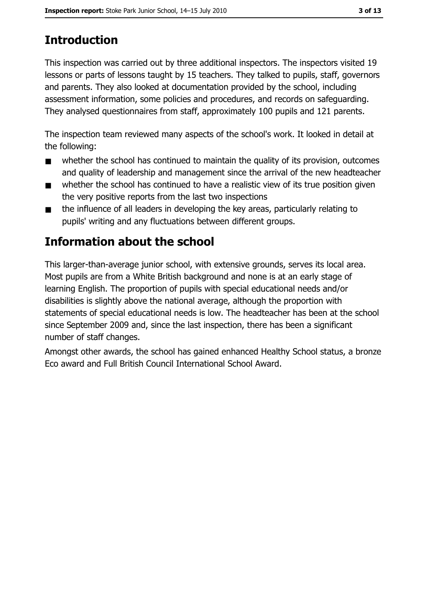# **Introduction**

This inspection was carried out by three additional inspectors. The inspectors visited 19 lessons or parts of lessons taught by 15 teachers. They talked to pupils, staff, governors and parents. They also looked at documentation provided by the school, including assessment information, some policies and procedures, and records on safequarding. They analysed questionnaires from staff, approximately 100 pupils and 121 parents.

The inspection team reviewed many aspects of the school's work. It looked in detail at the following:

- whether the school has continued to maintain the quality of its provision, outcomes  $\blacksquare$ and quality of leadership and management since the arrival of the new headteacher
- whether the school has continued to have a realistic view of its true position given  $\blacksquare$ the very positive reports from the last two inspections
- the influence of all leaders in developing the key areas, particularly relating to  $\blacksquare$ pupils' writing and any fluctuations between different groups.

# Information about the school

This larger-than-average junior school, with extensive grounds, serves its local area. Most pupils are from a White British background and none is at an early stage of learning English. The proportion of pupils with special educational needs and/or disabilities is slightly above the national average, although the proportion with statements of special educational needs is low. The headteacher has been at the school since September 2009 and, since the last inspection, there has been a significant number of staff changes.

Amongst other awards, the school has gained enhanced Healthy School status, a bronze Eco award and Full British Council International School Award.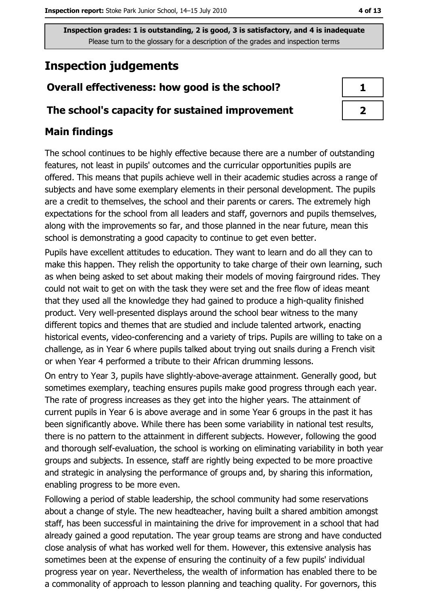Inspection grades: 1 is outstanding, 2 is good, 3 is satisfactory, and 4 is inadequate Please turn to the glossary for a description of the grades and inspection terms

# **Inspection judgements**

### Overall effectiveness: how good is the school?

### The school's capacity for sustained improvement

### **Main findings**

The school continues to be highly effective because there are a number of outstanding features, not least in pupils' outcomes and the curricular opportunities pupils are offered. This means that pupils achieve well in their academic studies across a range of subjects and have some exemplary elements in their personal development. The pupils are a credit to themselves, the school and their parents or carers. The extremely high expectations for the school from all leaders and staff, governors and pupils themselves, along with the improvements so far, and those planned in the near future, mean this school is demonstrating a good capacity to continue to get even better.

Pupils have excellent attitudes to education. They want to learn and do all they can to make this happen. They relish the opportunity to take charge of their own learning, such as when being asked to set about making their models of moving fairground rides. They could not wait to get on with the task they were set and the free flow of ideas meant that they used all the knowledge they had gained to produce a high-quality finished product. Very well-presented displays around the school bear witness to the many different topics and themes that are studied and include talented artwork, enacting historical events, video-conferencing and a variety of trips. Pupils are willing to take on a challenge, as in Year 6 where pupils talked about trying out snails during a French visit or when Year 4 performed a tribute to their African drumming lessons.

On entry to Year 3, pupils have slightly-above-average attainment. Generally good, but sometimes exemplary, teaching ensures pupils make good progress through each year. The rate of progress increases as they get into the higher years. The attainment of current pupils in Year 6 is above average and in some Year 6 groups in the past it has been significantly above. While there has been some variability in national test results, there is no pattern to the attainment in different subjects. However, following the good and thorough self-evaluation, the school is working on eliminating variability in both year groups and subjects. In essence, staff are rightly being expected to be more proactive and strategic in analysing the performance of groups and, by sharing this information, enabling progress to be more even.

Following a period of stable leadership, the school community had some reservations about a change of style. The new headteacher, having built a shared ambition amongst staff, has been successful in maintaining the drive for improvement in a school that had already gained a good reputation. The year group teams are strong and have conducted close analysis of what has worked well for them. However, this extensive analysis has sometimes been at the expense of ensuring the continuity of a few pupils' individual progress year on year. Nevertheless, the wealth of information has enabled there to be a commonality of approach to lesson planning and teaching quality. For governors, this

 $\mathbf{1}$ 

 $\overline{2}$ 

4 of 13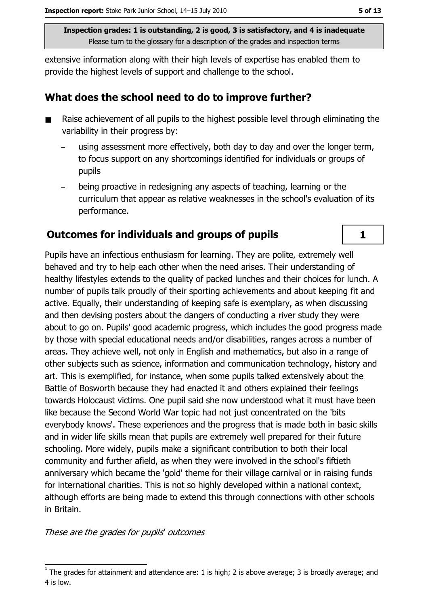Inspection grades: 1 is outstanding, 2 is good, 3 is satisfactory, and 4 is inadequate Please turn to the glossary for a description of the grades and inspection terms

extensive information along with their high levels of expertise has enabled them to provide the highest levels of support and challenge to the school.

### What does the school need to do to improve further?

- Raise achievement of all pupils to the highest possible level through eliminating the  $\blacksquare$ variability in their progress by:
	- using assessment more effectively, both day to day and over the longer term, to focus support on any shortcomings identified for individuals or groups of pupils
	- being proactive in redesigning any aspects of teaching, learning or the curriculum that appear as relative weaknesses in the school's evaluation of its performance.

### Outcomes for individuals and groups of pupils

Pupils have an infectious enthusiasm for learning. They are polite, extremely well behaved and try to help each other when the need arises. Their understanding of healthy lifestyles extends to the quality of packed lunches and their choices for lunch. A number of pupils talk proudly of their sporting achievements and about keeping fit and active. Equally, their understanding of keeping safe is exemplary, as when discussing and then devising posters about the dangers of conducting a river study they were about to go on. Pupils' good academic progress, which includes the good progress made by those with special educational needs and/or disabilities, ranges across a number of areas. They achieve well, not only in English and mathematics, but also in a range of other subjects such as science, information and communication technology, history and art. This is exemplified, for instance, when some pupils talked extensively about the Battle of Bosworth because they had enacted it and others explained their feelings towards Holocaust victims. One pupil said she now understood what it must have been like because the Second World War topic had not just concentrated on the 'bits' everybody knows'. These experiences and the progress that is made both in basic skills and in wider life skills mean that pupils are extremely well prepared for their future schooling. More widely, pupils make a significant contribution to both their local community and further afield, as when they were involved in the school's fiftieth anniversary which became the 'gold' theme for their village carnival or in raising funds for international charities. This is not so highly developed within a national context, although efforts are being made to extend this through connections with other schools in Britain.

These are the grades for pupils' outcomes

 $\mathbf{1}$ 

The grades for attainment and attendance are: 1 is high; 2 is above average; 3 is broadly average; and 4 is low.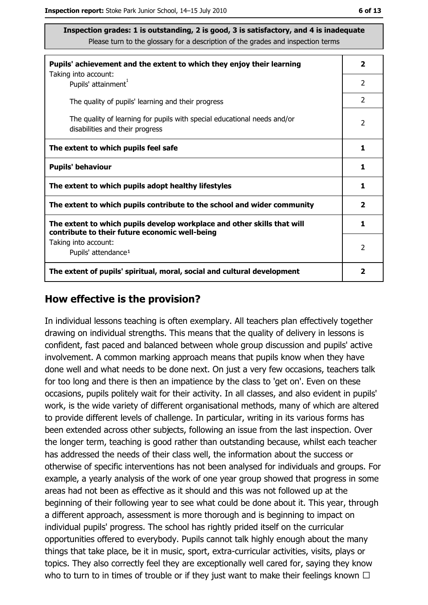| Inspection grades: 1 is outstanding, 2 is good, 3 is satisfactory, and 4 is inadequate                      |   |
|-------------------------------------------------------------------------------------------------------------|---|
| Please turn to the glossary for a description of the grades and inspection terms                            |   |
| Pupils' achievement and the extent to which they enjoy their learning                                       |   |
| Taking into account:<br>Pupils' attainment <sup>1</sup>                                                     | 2 |
| The quality of pupils' learning and their progress                                                          |   |
| The quality of learning for pupils with special educational needs and/or<br>disabilities and their progress |   |
| The extent to which pupils feel safe                                                                        |   |
| <b>Pupils' behaviour</b>                                                                                    |   |

| <b>Pupils' behaviour</b>                                                                                                  |   |
|---------------------------------------------------------------------------------------------------------------------------|---|
| The extent to which pupils adopt healthy lifestyles                                                                       |   |
| The extent to which pupils contribute to the school and wider community                                                   | 2 |
| The extent to which pupils develop workplace and other skills that will<br>contribute to their future economic well-being |   |
| Taking into account:<br>Pupils' attendance <sup>1</sup>                                                                   | 2 |
| The extent of pupils' spiritual, moral, social and cultural development                                                   |   |

### How effective is the provision?

In individual lessons teaching is often exemplary. All teachers plan effectively together drawing on individual strengths. This means that the quality of delivery in lessons is confident, fast paced and balanced between whole group discussion and pupils' active involvement. A common marking approach means that pupils know when they have done well and what needs to be done next. On just a very few occasions, teachers talk for too long and there is then an impatience by the class to 'get on'. Even on these occasions, pupils politely wait for their activity. In all classes, and also evident in pupils' work, is the wide variety of different organisational methods, many of which are altered to provide different levels of challenge. In particular, writing in its various forms has been extended across other subjects, following an issue from the last inspection. Over the longer term, teaching is good rather than outstanding because, whilst each teacher has addressed the needs of their class well, the information about the success or otherwise of specific interventions has not been analysed for individuals and groups. For example, a yearly analysis of the work of one year group showed that progress in some areas had not been as effective as it should and this was not followed up at the beginning of their following year to see what could be done about it. This year, through a different approach, assessment is more thorough and is beginning to impact on individual pupils' progress. The school has rightly prided itself on the curricular opportunities offered to everybody. Pupils cannot talk highly enough about the many things that take place, be it in music, sport, extra-curricular activities, visits, plays or topics. They also correctly feel they are exceptionally well cared for, saying they know who to turn to in times of trouble or if they just want to make their feelings known  $\Box$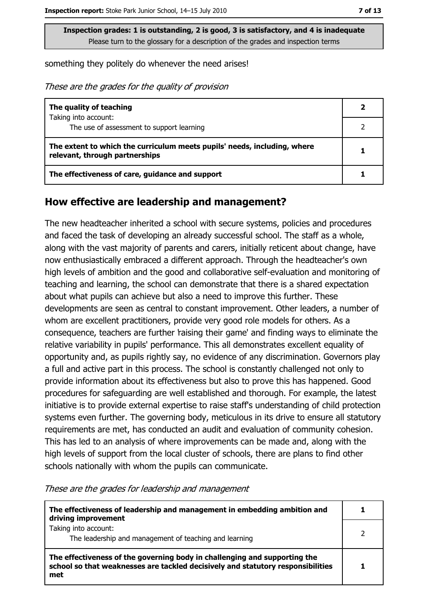Inspection grades: 1 is outstanding, 2 is good, 3 is satisfactory, and 4 is inadequate Please turn to the glossary for a description of the grades and inspection terms

something they politely do whenever the need arises!

These are the grades for the quality of provision

| The quality of teaching                                                                                    |  |
|------------------------------------------------------------------------------------------------------------|--|
| Taking into account:                                                                                       |  |
| The use of assessment to support learning                                                                  |  |
| The extent to which the curriculum meets pupils' needs, including, where<br>relevant, through partnerships |  |
| The effectiveness of care, guidance and support                                                            |  |

### How effective are leadership and management?

The new headteacher inherited a school with secure systems, policies and procedures and faced the task of developing an already successful school. The staff as a whole, along with the vast majority of parents and carers, initially reticent about change, have now enthusiastically embraced a different approach. Through the headteacher's own high levels of ambition and the good and collaborative self-evaluation and monitoring of teaching and learning, the school can demonstrate that there is a shared expectation about what pupils can achieve but also a need to improve this further. These developments are seen as central to constant improvement. Other leaders, a number of whom are excellent practitioners, provide very good role models for others. As a consequence, teachers are further raising their game' and finding ways to eliminate the relative variability in pupils' performance. This all demonstrates excellent equality of opportunity and, as pupils rightly say, no evidence of any discrimination. Governors play a full and active part in this process. The school is constantly challenged not only to provide information about its effectiveness but also to prove this has happened. Good procedures for safeguarding are well established and thorough. For example, the latest initiative is to provide external expertise to raise staff's understanding of child protection systems even further. The governing body, meticulous in its drive to ensure all statutory requirements are met, has conducted an audit and evaluation of community cohesion. This has led to an analysis of where improvements can be made and, along with the high levels of support from the local cluster of schools, there are plans to find other schools nationally with whom the pupils can communicate.

These are the grades for leadership and management

| The effectiveness of leadership and management in embedding ambition and<br>driving improvement                                                                     |  |
|---------------------------------------------------------------------------------------------------------------------------------------------------------------------|--|
| Taking into account:<br>The leadership and management of teaching and learning                                                                                      |  |
| The effectiveness of the governing body in challenging and supporting the<br>school so that weaknesses are tackled decisively and statutory responsibilities<br>met |  |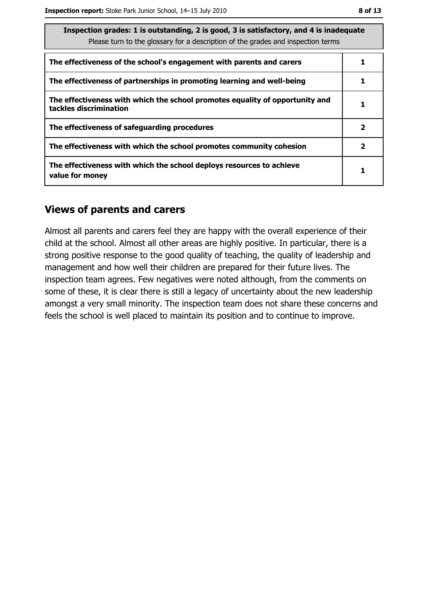| Inspection grades: 1 is outstanding, 2 is good, 3 is satisfactory, and 4 is inadequate<br>Please turn to the glossary for a description of the grades and inspection terms |              |  |
|----------------------------------------------------------------------------------------------------------------------------------------------------------------------------|--------------|--|
| The effectiveness of the school's engagement with parents and carers                                                                                                       |              |  |
| The effectiveness of partnerships in promoting learning and well-being                                                                                                     |              |  |
| The effectiveness with which the school promotes equality of opportunity and<br>tackles discrimination                                                                     |              |  |
| The effectiveness of safeguarding procedures                                                                                                                               | $\mathbf{2}$ |  |
| The effectiveness with which the school promotes community cohesion                                                                                                        | $\mathbf{2}$ |  |
| The effectiveness with which the school deploys resources to achieve<br>value for money                                                                                    |              |  |

### **Views of parents and carers**

Almost all parents and carers feel they are happy with the overall experience of their child at the school. Almost all other areas are highly positive. In particular, there is a strong positive response to the good quality of teaching, the quality of leadership and management and how well their children are prepared for their future lives. The inspection team agrees. Few negatives were noted although, from the comments on some of these, it is clear there is still a legacy of uncertainty about the new leadership amongst a very small minority. The inspection team does not share these concerns and feels the school is well placed to maintain its position and to continue to improve.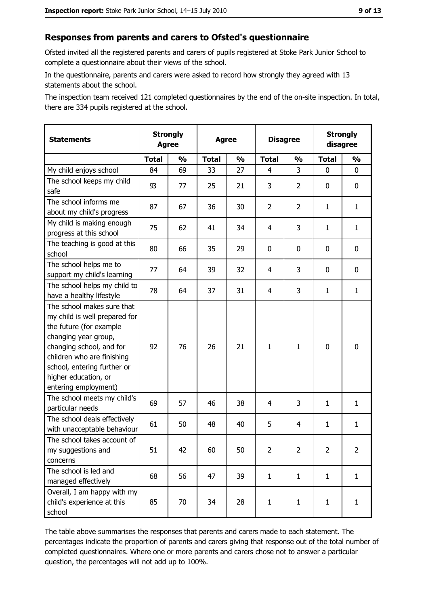### Responses from parents and carers to Ofsted's questionnaire

Ofsted invited all the registered parents and carers of pupils registered at Stoke Park Junior School to complete a questionnaire about their views of the school.

In the questionnaire, parents and carers were asked to record how strongly they agreed with 13 statements about the school.

The inspection team received 121 completed questionnaires by the end of the on-site inspection. In total, there are 334 pupils registered at the school.

| <b>Statements</b>                                                                                                                                                                                                                                       | <b>Strongly</b><br><b>Agree</b> |               | <b>Agree</b> |               | <b>Disagree</b> |                | <b>Strongly</b><br>disagree |                |
|---------------------------------------------------------------------------------------------------------------------------------------------------------------------------------------------------------------------------------------------------------|---------------------------------|---------------|--------------|---------------|-----------------|----------------|-----------------------------|----------------|
|                                                                                                                                                                                                                                                         | <b>Total</b>                    | $\frac{1}{2}$ | <b>Total</b> | $\frac{1}{2}$ | <b>Total</b>    | $\frac{0}{0}$  | <b>Total</b>                | $\frac{1}{2}$  |
| My child enjoys school                                                                                                                                                                                                                                  | 84                              | 69            | 33           | 27            | $\overline{4}$  | 3              | 0                           | 0              |
| The school keeps my child<br>safe                                                                                                                                                                                                                       | 93                              | 77            | 25           | 21            | 3               | 2              | 0                           | 0              |
| The school informs me<br>about my child's progress                                                                                                                                                                                                      | 87                              | 67            | 36           | 30            | $\overline{2}$  | $\overline{2}$ | 1                           | $\mathbf{1}$   |
| My child is making enough<br>progress at this school                                                                                                                                                                                                    | 75                              | 62            | 41           | 34            | 4               | 3              | 1                           | $\mathbf{1}$   |
| The teaching is good at this<br>school                                                                                                                                                                                                                  | 80                              | 66            | 35           | 29            | 0               | 0              | 0                           | 0              |
| The school helps me to<br>support my child's learning                                                                                                                                                                                                   | 77                              | 64            | 39           | 32            | $\overline{4}$  | 3              | 0                           | $\mathbf 0$    |
| The school helps my child to<br>have a healthy lifestyle                                                                                                                                                                                                | 78                              | 64            | 37           | 31            | 4               | 3              | 1                           | $\mathbf{1}$   |
| The school makes sure that<br>my child is well prepared for<br>the future (for example<br>changing year group,<br>changing school, and for<br>children who are finishing<br>school, entering further or<br>higher education, or<br>entering employment) | 92                              | 76            | 26           | 21            | $\mathbf{1}$    | 1              | 0                           | $\bf{0}$       |
| The school meets my child's<br>particular needs                                                                                                                                                                                                         | 69                              | 57            | 46           | 38            | $\overline{4}$  | 3              | 1                           | $\mathbf{1}$   |
| The school deals effectively<br>with unacceptable behaviour                                                                                                                                                                                             | 61                              | 50            | 48           | 40            | 5               | 4              | 1                           | $\mathbf{1}$   |
| The school takes account of<br>my suggestions and<br>concerns                                                                                                                                                                                           | 51                              | 42            | 60           | 50            | $\overline{2}$  | 2              | 2                           | $\overline{2}$ |
| The school is led and<br>managed effectively                                                                                                                                                                                                            | 68                              | 56            | 47           | 39            | $\mathbf{1}$    | $\mathbf{1}$   | $\mathbf{1}$                | $\mathbf{1}$   |
| Overall, I am happy with my<br>child's experience at this<br>school                                                                                                                                                                                     | 85                              | 70            | 34           | 28            | $\mathbf{1}$    | $\mathbf{1}$   | $\mathbf{1}$                | $\mathbf{1}$   |

The table above summarises the responses that parents and carers made to each statement. The percentages indicate the proportion of parents and carers giving that response out of the total number of completed questionnaires. Where one or more parents and carers chose not to answer a particular question, the percentages will not add up to 100%.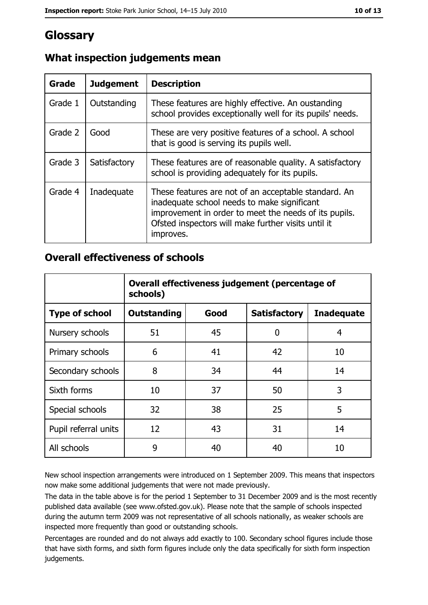## Glossary

| Grade   | <b>Judgement</b> | <b>Description</b>                                                                                                                                                                                                               |
|---------|------------------|----------------------------------------------------------------------------------------------------------------------------------------------------------------------------------------------------------------------------------|
| Grade 1 | Outstanding      | These features are highly effective. An oustanding<br>school provides exceptionally well for its pupils' needs.                                                                                                                  |
| Grade 2 | Good             | These are very positive features of a school. A school<br>that is good is serving its pupils well.                                                                                                                               |
| Grade 3 | Satisfactory     | These features are of reasonable quality. A satisfactory<br>school is providing adequately for its pupils.                                                                                                                       |
| Grade 4 | Inadequate       | These features are not of an acceptable standard. An<br>inadequate school needs to make significant<br>improvement in order to meet the needs of its pupils.<br>Ofsted inspectors will make further visits until it<br>improves. |

### What inspection judgements mean

### **Overall effectiveness of schools**

|                       | Overall effectiveness judgement (percentage of<br>schools) |      |                     |                   |
|-----------------------|------------------------------------------------------------|------|---------------------|-------------------|
| <b>Type of school</b> | <b>Outstanding</b>                                         | Good | <b>Satisfactory</b> | <b>Inadequate</b> |
| Nursery schools       | 51                                                         | 45   | 0                   | 4                 |
| Primary schools       | 6                                                          | 41   | 42                  | 10                |
| Secondary schools     | 8                                                          | 34   | 44                  | 14                |
| Sixth forms           | 10                                                         | 37   | 50                  | 3                 |
| Special schools       | 32                                                         | 38   | 25                  | 5                 |
| Pupil referral units  | 12                                                         | 43   | 31                  | 14                |
| All schools           | 9                                                          | 40   | 40                  | 10                |

New school inspection arrangements were introduced on 1 September 2009. This means that inspectors now make some additional judgements that were not made previously.

The data in the table above is for the period 1 September to 31 December 2009 and is the most recently published data available (see www.ofsted.gov.uk). Please note that the sample of schools inspected during the autumn term 2009 was not representative of all schools nationally, as weaker schools are inspected more frequently than good or outstanding schools.

Percentages are rounded and do not always add exactly to 100. Secondary school figures include those that have sixth forms, and sixth form figures include only the data specifically for sixth form inspection judgements.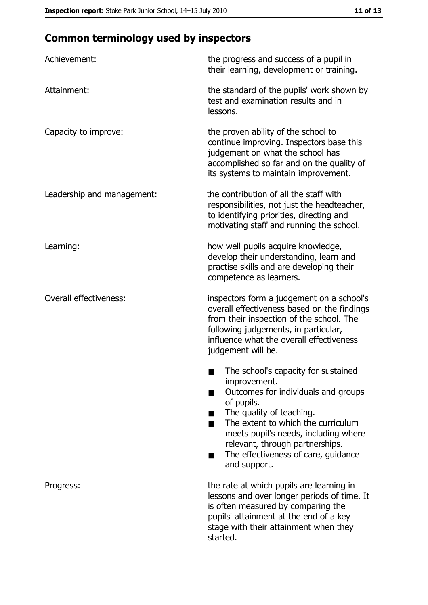# **Common terminology used by inspectors**

| Achievement:                  | the progress and success of a pupil in<br>their learning, development or training.                                                                                                                                                                                                                                |
|-------------------------------|-------------------------------------------------------------------------------------------------------------------------------------------------------------------------------------------------------------------------------------------------------------------------------------------------------------------|
| Attainment:                   | the standard of the pupils' work shown by<br>test and examination results and in<br>lessons.                                                                                                                                                                                                                      |
| Capacity to improve:          | the proven ability of the school to<br>continue improving. Inspectors base this<br>judgement on what the school has<br>accomplished so far and on the quality of<br>its systems to maintain improvement.                                                                                                          |
| Leadership and management:    | the contribution of all the staff with<br>responsibilities, not just the headteacher,<br>to identifying priorities, directing and<br>motivating staff and running the school.                                                                                                                                     |
| Learning:                     | how well pupils acquire knowledge,<br>develop their understanding, learn and<br>practise skills and are developing their<br>competence as learners.                                                                                                                                                               |
| <b>Overall effectiveness:</b> | inspectors form a judgement on a school's<br>overall effectiveness based on the findings<br>from their inspection of the school. The<br>following judgements, in particular,<br>influence what the overall effectiveness<br>judgement will be.                                                                    |
|                               | The school's capacity for sustained<br>improvement.<br>Outcomes for individuals and groups<br>of pupils.<br>The quality of teaching.<br>The extent to which the curriculum<br>meets pupil's needs, including where<br>relevant, through partnerships.<br>The effectiveness of care, guidance<br>▄<br>and support. |
| Progress:                     | the rate at which pupils are learning in<br>lessons and over longer periods of time. It<br>is often measured by comparing the<br>pupils' attainment at the end of a key<br>stage with their attainment when they<br>started.                                                                                      |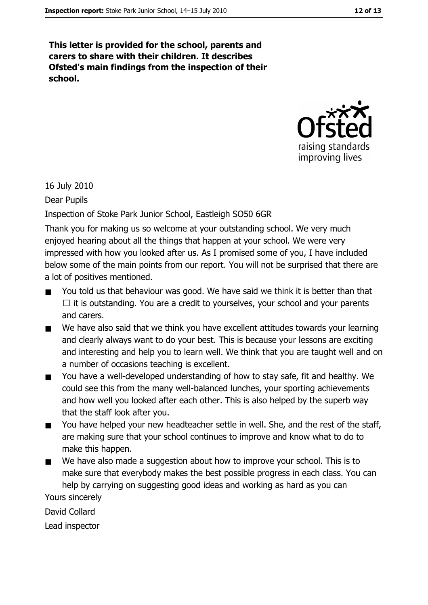12 of 13

This letter is provided for the school, parents and carers to share with their children. It describes Ofsted's main findings from the inspection of their school.



16 July 2010

Dear Pupils

Inspection of Stoke Park Junior School, Eastleigh SO50 6GR

Thank you for making us so welcome at your outstanding school. We very much enjoyed hearing about all the things that happen at your school. We were very impressed with how you looked after us. As I promised some of you, I have included below some of the main points from our report. You will not be surprised that there are a lot of positives mentioned.

- You told us that behaviour was good. We have said we think it is better than that  $\Box$  it is outstanding. You are a credit to yourselves, your school and your parents and carers.
- We have also said that we think you have excellent attitudes towards your learning  $\blacksquare$ and clearly always want to do your best. This is because your lessons are exciting and interesting and help you to learn well. We think that you are taught well and on a number of occasions teaching is excellent.
- You have a well-developed understanding of how to stay safe, fit and healthy. We  $\blacksquare$ could see this from the many well-balanced lunches, your sporting achievements and how well you looked after each other. This is also helped by the superb way that the staff look after you.
- You have helped your new headteacher settle in well. She, and the rest of the staff,  $\blacksquare$ are making sure that your school continues to improve and know what to do to make this happen.
- We have also made a suggestion about how to improve your school. This is to  $\blacksquare$ make sure that everybody makes the best possible progress in each class. You can help by carrying on suggesting good ideas and working as hard as you can Yours sincerely

David Collard

Lead inspector